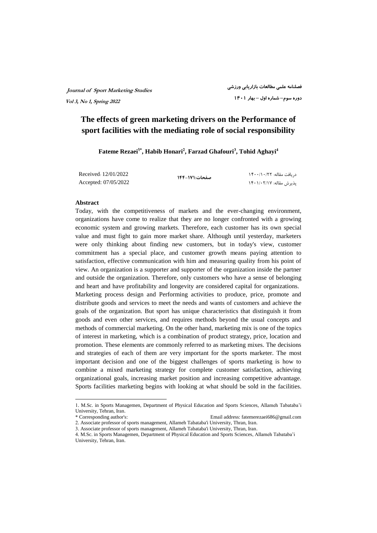# **The effects of green marketing drivers on the Performance of sport facilities with the mediating role of social responsibility**

**Fateme Rezaei1\* , Habib Honari<sup>2</sup> , Farzad Ghafouri<sup>3</sup> , Tohid Aghayi<sup>4</sup>**

Received: 12/01/2022 Accepted: 07/05/2022

**صفحات۱۴۴-۱۷۱:**

 دریافت مقاله: ۱۴۰۰/۱۰/۲۲ پذیرش مقاله: ۱۴۰۱/۰۲/۱۷

#### **Abstract**

 $\overline{a}$ 

Today, with the competitiveness of markets and the ever-changing environment, organizations have come to realize that they are no longer confronted with a growing economic system and growing markets. Therefore, each customer has its own special value and must fight to gain more market share. Although until yesterday, marketers were only thinking about finding new customers, but in today's view, customer commitment has a special place, and customer growth means paying attention to satisfaction, effective communication with him and measuring quality from his point of view. An organization is a supporter and supporter of the organization inside the partner and outside the organization. Therefore, only customers who have a sense of belonging and heart and have profitability and longevity are considered capital for organizations. Marketing process design and Performing activities to produce, price, promote and distribute goods and services to meet the needs and wants of customers and achieve the goals of the organization. But sport has unique characteristics that distinguish it from goods and even other services, and requires methods beyond the usual concepts and methods of commercial marketing. On the other hand, marketing mix is one of the topics of interest in marketing, which is a combination of product strategy, price, location and promotion. These elements are commonly referred to as marketing mixes. The decisions and strategies of each of them are very important for the sports marketer. The most important decision and one of the biggest challenges of sports marketing is how to combine a mixed marketing strategy for complete customer satisfaction, achieving organizational goals, increasing market position and increasing competitive advantage. Sports facilities marketing begins with looking at what should be sold in the facilities.

<sup>1.</sup> M.Sc. in Sports Managemen, Department of Physical Education and Sports Sciences, Allameh Tabataba'i University, Tehran, Iran.

<sup>\*</sup> Corresponding author's: Email address: fatemerezaei686@gmail.com

<sup>2.</sup> Associate professor of sports management, Allameh Tabataba'i University, Thran, Iran.

<sup>3.</sup> Associate professor of sports management, Allameh Tabataba'i University, Thran, Iran.

<sup>4.</sup> M.Sc. in Sports Managemen, Department of Physical Education and Sports Sciences, Allameh Tabataba'i University, Tehran, Iran.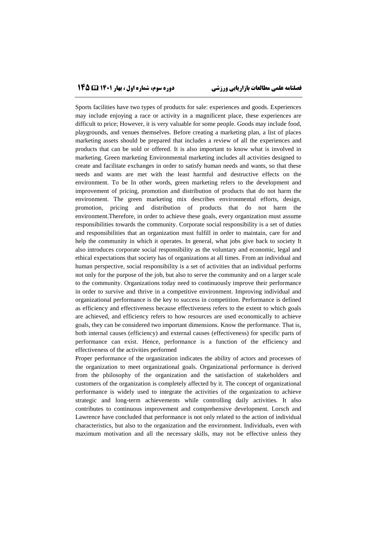# **فصلنامه علمی مطالعات بازاریابی ورزشی دوره سوم، شماره اول ، بهار 1۴۰1 1۴5**

Sports facilities have two types of products for sale: experiences and goods. Experiences may include enjoying a race or activity in a magnificent place, these experiences are difficult to price; However, it is very valuable for some people. Goods may include food, playgrounds, and venues themselves. Before creating a marketing plan, a list of places marketing assets should be prepared that includes a review of all the experiences and products that can be sold or offered. It is also important to know what is involved in marketing. Green marketing Environmental marketing includes all activities designed to create and facilitate exchanges in order to satisfy human needs and wants, so that these needs and wants are met with the least harmful and destructive effects on the environment. To be In other words, green marketing refers to the development and improvement of pricing, promotion and distribution of products that do not harm the environment. The green marketing mix describes environmental efforts, design, promotion, pricing and distribution of products that do not harm the environment.Therefore, in order to achieve these goals, every organization must assume responsibilities towards the community. Corporate social responsibility is a set of duties and responsibilities that an organization must fulfill in order to maintain, care for and help the community in which it operates. In general, what jobs give back to society It also introduces corporate social responsibility as the voluntary and economic, legal and ethical expectations that society has of organizations at all times. From an individual and human perspective, social responsibility is a set of activities that an individual performs not only for the purpose of the job, but also to serve the community and on a larger scale to the community. Organizations today need to continuously improve their performance in order to survive and thrive in a competitive environment. Improving individual and organizational performance is the key to success in competition. Performance is defined as efficiency and effectiveness because effectiveness refers to the extent to which goals are achieved, and efficiency refers to how resources are used economically to achieve goals, they can be considered two important dimensions. Know the performance. That is, both internal causes (efficiency) and external causes (effectiveness) for specific parts of performance can exist. Hence, performance is a function of the efficiency and effectiveness of the activities performed

Proper performance of the organization indicates the ability of actors and processes of the organization to meet organizational goals. Organizational performance is derived from the philosophy of the organization and the satisfaction of stakeholders and customers of the organization is completely affected by it. The concept of organizational performance is widely used to integrate the activities of the organization to achieve strategic and long-term achievements while controlling daily activities. It also contributes to continuous improvement and comprehensive development. Lorsch and Lawrence have concluded that performance is not only related to the action of individual characteristics, but also to the organization and the environment. Individuals, even with maximum motivation and all the necessary skills, may not be effective unless they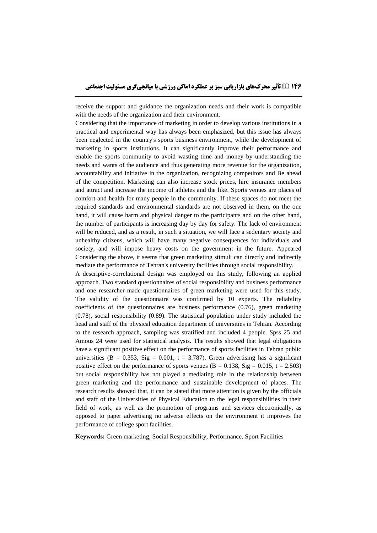receive the support and guidance the organization needs and their work is compatible with the needs of the organization and their environment.

Considering that the importance of marketing in order to develop various institutions in a practical and experimental way has always been emphasized, but this issue has always been neglected in the country's sports business environment, while the development of marketing in sports institutions. It can significantly improve their performance and enable the sports community to avoid wasting time and money by understanding the needs and wants of the audience and thus generating more revenue for the organization, accountability and initiative in the organization, recognizing competitors and Be ahead of the competition. Marketing can also increase stock prices, hire insurance members and attract and increase the income of athletes and the like. Sports venues are places of comfort and health for many people in the community. If these spaces do not meet the required standards and environmental standards are not observed in them, on the one hand, it will cause harm and physical danger to the participants and on the other hand, the number of participants is increasing day by day for safety. The lack of environment will be reduced, and as a result, in such a situation, we will face a sedentary society and unhealthy citizens, which will have many negative consequences for individuals and society, and will impose heavy costs on the government in the future. Appeared Considering the above, it seems that green marketing stimuli can directly and indirectly mediate the performance of Tehran's university facilities through social responsibility.

A descriptive-correlational design was employed on this study, following an applied approach. Two standard questionnaires of social responsibility and business performance and one researcher-made questionnaires of green marketing were used for this study. The validity of the questionnaire was confirmed by 10 experts. The reliability coefficients of the questionnaires are business performance (0.76), green marketing (0.78), social responsibility (0.89). The statistical population under study included the head and staff of the physical education department of universities in Tehran. According to the research approach, sampling was stratified and included 4 people. Spss 25 and Amous 24 were used for statistical analysis. The results showed that legal obligations have a significant positive effect on the performance of sports facilities in Tehran public universities (B = 0.353, Sig = 0.001, t = 3.787). Green advertising has a significant positive effect on the performance of sports venues ( $B = 0.138$ ,  $Sig = 0.015$ ,  $t = 2.503$ ) but social responsibility has not played a mediating role in the relationship between green marketing and the performance and sustainable development of places. The research results showed that, it can be stated that more attention is given by the officials and staff of the Universities of Physical Education to the legal responsibilities in their field of work, as well as the promotion of programs and services electronically, as opposed to paper advertising no adverse effects on the environment it improves the performance of college sport facilities.

**Keywords:** Green marketing, Social Responsibility, Performance, Sport Facilities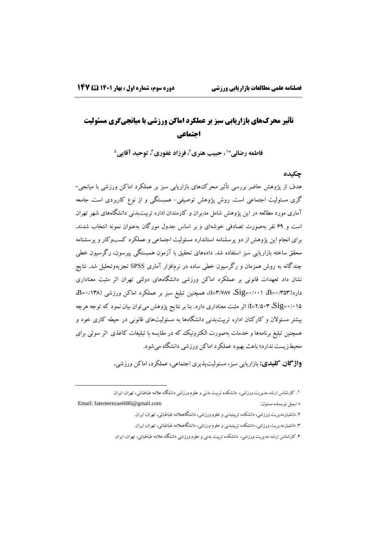$\overline{a}$ 

# **تأثیر محرکهای بازاریابی سبز بر عملکرد اماکن ورزشی با میانجیگری مسئولیت اجتماعی**

**، توحید آقایی \*1 ، حبیب هنری،<sup>2</sup> فرزاد غفوری<sup>3</sup> فاطمه رضائی 4**

#### **چکیده**

هدف از پژوهش حاضر بررسی تأثیر محرکهای بازاریابی سبز بر عملکرد اماکن ورزشی با میانجی- گری مسئولیت اجتماعی است. روش پژوهش توصیفی- همبستگی و از نوع کاربردی است. جامعه آماری مورد مطالعه در این پژوهش شامل مدیران و کارمندان اداره تربیتبدنی دانشگاههای شهر تهران است و 69 نفر بهصورت تصادفی خوشهای و بر اساس جدول مورگان بهعنوان نمونه انتخاب شدند. برای انجام این پژوهش از دو پرسشنامه استاندارد مسئولیت اجتماعی و عملکرد کسبوکار و پرسشنامه محقق ساخته بازاریابی سبز استفاده شد. دادههای تحقیق با آزمون همبستگی پیرسون، رگرسیون خطی چندگانه به روش همزمان و رگرسیون خطی ساده در نرمافزار آماری SPSS تجزیهوتحلیل شد. نتایج نشان داد تعهدات قانونی بر عملکرد اماکن ورزشی دانشگاههای دولتی تهران اثر مثبت معناداری دارد)0/353=B، 0/001=Sig، 3/787=t)، همچنین تبلیغ سبز بر عملکرد اماکن ورزشی )0/138=B، 0/015=Sig، 2/503=<sup>t</sup> )اثر مثبت معناداری دارد. بنا بر نتایج پژوهش میتوان بیان نمود که توجه هرچه بیشتر مسئوالن و کارکنان اداره تربیتبدنی دانشگاهها به مسئولیتهای قانونی در حیطه کاری خود و همچنین تبلیغ برنامهها و خدمات بهصورت الکترونیک که در مقایسه با تبلیغات کاغذی اثر سوئی برای محیطزیست ندارد؛ باعث بهبود عملکرد اماکن ورزشی دانشگاه میشود.

**واژگان کلیدی:** بازاریابی سبز، مسئولیتپذیری اجتماعی، عملکرد، اماکن ورزشی**.**

.1 کارشناس ارشد مدیریت ورزشی، دانشکده تربیت بدنی و علوم ورزشی دانشگاه عالمه طباطبائی، تهران، ایران.

Email: fatemerezaei686@gmail.com :مسئول نویسنده ایمیل\*

- .2 دانشیارمدیریت ورزشی، دانشکده تربیتبدنی و علوم ورزشی، دانشگاهعالمه طباطبائی، تهران، ایران.
- .3 دانشیارمدیریت ورزشی، دانشکده تربیتبدنی و علوم ورزشی، دانشگاهعالمه طباطبائی، تهران، ایران.
- .4 کارشناس ارشد مدیریت ورزشی، دانشکده تربیت بدنی و علوم ورزشی دانشگاه عالمه طباطبائی، تهران، ایران.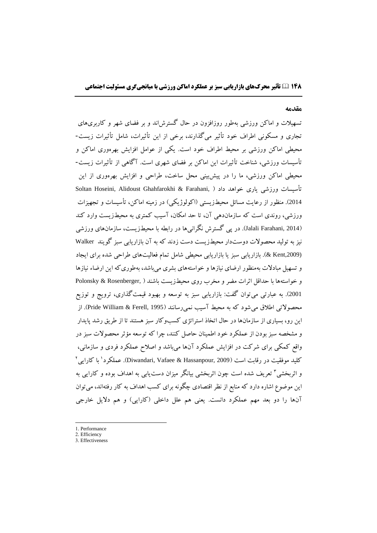#### **مقدمه**

تسهیالت و اماکن ورزشی بهطور روزافزون در حال گسترشاند و بر فضای شهر و کاربریهای تجاری و مسکونی اطراف خود تأثیر میگذارند، برخی از این تأثیرات، شامل تأثیرات زیست- محیطی اماکن ورزشی بر محیط اطراف خود است. یکی از عوامل افزایش بهرهوری اماکن و تأسیسات ورزشی، شناخت تأثیرات این اماکن بر فضای شهری است. آگاهی از تأثیرات زیست- محیطی اماکن ورزشی، ما را در پیشبینی محل ساخت، طراحی و افزایش بهرهوری از این تأسیسات ورزشی یاری خواهد داد ( ,Soltan Hoseini, Alidoust Ghahfarokhi & Farahani 2014). منظور از رعایت مسائل محیطزیستی (اکولوژیکی) در زمینه اماکن، تأسیسات و تجهیزات ورزشی، روندی است که سازماندهی آن، تا حد امکان، آسیب کمتری به محیطزیست وارد کند )2014 ,Farahani Jalali). در پی گسترش نگرانیها در رابطه با محیطزیست، سازمانهای ورزشی نیز به تولید محصوالت دوستدار محیطزیست دست زدند که به آن بازاریابی سبز گویند Walker (,2009Kent)& . بازاریابی سبز یا بازاریابی محیطی شامل تمام فعالیتهای طراحی شده برای ایجاد و تسهیل مبادالت بهمنظور ارضای نیازها و خواستههای بشری میباشد، بهطوریکه این ارضاء نیازها و خواستهها با حداقل اثرات مضر و مخرب روی محیطزیست باشند ) ,Rosenberger & Polonsky <sup>2001</sup>(. به عبارتی میتوان گفت: بازاریابی سبز به توسعه و بهبود قیمتگذاری، ترویج و توزیع محصولاتی اطلاق میشود که به محیط آسیب نمیرسانند (Pride William & Ferell, 1995). از این رو، بسیاری از سازمانها در حال اتخاذ استراتژی کسبوکار سبز هستند تا از طریق رشد پایدار و مشخصه سبز بودن از عملکرد خود اطمینان حاصل کنند، چرا که توسعه مؤثر محصوالت سبز در واقع کمکی برای شرکت در افزایش عملکرد آنها میباشد و اصالح عملکرد فردی و سازمانی، كلید موفقیت در رقابت است (Diwandari, Vafaee & Hassanpour, 2009). عملکرد<sup>י</sup> با کارای<sub>ک</sub>' و اثربخشی" تعریف شده است چون اثربخشی بیانگر میزان دست،یابی به اهداف بوده و کارایی به این موضوع اشاره دارد که منابع از نظر اقتصادی چگونه برای کسب اهداف به کار رفتهاند، میتوان آنها را دو بعد مهم عملکرد دانست. یعنی هم علل داخلی (کارایی) و هم دلایل خارجی

1. Performance

 $\overline{a}$ 

- 2. Efficiency
- 3. Effectiveness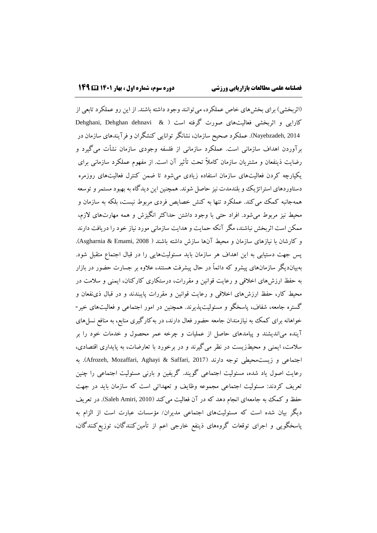(اثربخشی) برای بخشهای خاص عملکرد، می توانند وجود داشته باشند. از این رو عملکرد تابعی از کارایی و اثربخشی فعالیتهای صورت گرفته است ( & Dehghani, Dehghan dehnavi & 2014 ,Nayebzadeh). عملکرد صحیح سازمان، نشانگر توانایی کنشگران و فرآیندهای سازمان در برآوردن اهداف سازمانی است. عملکرد سازمانی از فلسفه وجودی سازمان نشأت میگیرد و رضایت ذینفعان و مشتریان سازمان کامالا تحت تأثیر آن است. از مفهوم عملکرد سازمانی برای یکپارچه کردن فعالیتهای سازمان استفاده زیادی میشود تا ضمن کنترل فعالیتهای روزمره دستاوردهای استراتژیک و بلندمدت نیز حاصل شوند. همچنین این دیدگاه به بهبود مستمرو توسعه همهجانبه کمک میکند. عملکرد تنها به کنش خصایص فردی مربوط نیست، بلکه به سازمان و محیط نیز مربوط میشود. افراد حتی با وجود داشتن حداکثر انگیزش و همه مهارتهای الزم، ممکن است اثربخش نباشند، مگر آنکه حمایت و هدایت سازمانی مورد نیاز خود را دریافت دارند و کارشان با نیازهای سازمان و محیط آنها سازش داشته باشند ) 2008 ,Emami & Asgharnia). پس جهت دستیابی به این اهداف هر سازمان باید مسئولیتهایی را در قبال اجتماع متقبل شود. بهبیاندیگر سازمانهای پیشرو که دائماا در حال پیشرفت هستند، عالوه بر جسارت حضور در بازار به حفظ ارزشهای اخالقی و رعایت قوانین و مقررات، درستکاری کارکنان، ایمنی و سالمت در محیط کار، حفظ ارزشهای اخالقی و رعایت قوانین و مقررات پایبندند و در قبال ذینفعان و گستره جامعه، شفاف، پاسخگو و مسئولیتپذیرند. همچنین در امور اجتماعی و فعالیتهای خیر- خواهانه برای کمک به نیازمندان جامعه حضور فعال دارند، در بهکارگیری منابع، به منافع نسلهای آینده میاندیشند و پیامدهای حاصل از عملیات و چرخه عمر محصول و خدمات خود را بر سالمت، ایمنی و محیطزیست در نظر میگیرند و در برخورد با تعارضات، به پایداری اقتصادی، اجتماعی و زیستمحیطی توجه دارند (Afrozeh, Mozaffari, Aghayi & Saffari, 2017). به رعایت اصول یاد شده، مسئولیت اجتماعی گویند. گریفین و بارنی مسئولیت اجتماعی را چنین تعریف کردند: مسئولیت اجتماعی مجموعه وظایف و تعهداتی است که سازمان باید در جهت حفظ و کمک به جامعهای انجام دهد که در آن فعالیت میکند (Saleh Amiri, 2010). در تعریف دیگر بیان شده است که مسئولیتهای اجتماعی مدیران/ مؤسسات عبارت است از الزام به پاسخگویی و اجرای توقعات گروههای ذینفع خارجی اعم از تأمینکنندگان، توزیعکنندگان،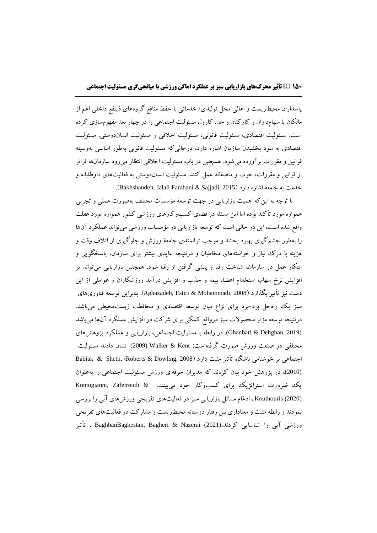پاسداران محیطزیست و اهالی محل تولیدی/ خدماتی با حفظ منافع گروههای ذینفع داخلی اعم از مالکان یا سهامداران و کارکنان واحد. کارول مسئولیت اجتماعی را در چهار بعد مفهومسازی کرده است: مسئولیت اقتصادی، مسئولیت قانونی، مسئولیت اخالقی و مسئولیت انساندوستی. مسئولیت اقتصادی به سود بخشیدن سازمان اشاره دارد، درحالیکه مسئولیت قانونی بهطور اساسی بهوسیله قوانین و مقررات برآورده میشود. همچنین در باب مسئولیت اخالقی انتظار میرود سازمانها فراتر از قوانین و مقررات، خوب و منصفانه عمل کنند. مسئولیت انساندوستی به فعالیتهای داوطلبانه و خدمت به جامعه اشاره دارد (2015 Bakhshandeh, Jalali Farahani & Sajjadi,

با توجه به اینکه اهمیت بازاریابی در جهت توسعۀ مؤسسات مختلف بهصورت عملی و تجربی همواره مورد تأکید بوده اما این مسئله در فضای کسبوکارهای ورزشی کشور همواره مورد غفلت واقع شده است، این در حالی است که توسعه بازاریابی در مؤسسات ورزشی میتواند عملکرد آنها را بهطور چشمگیری بهبود بخشد و موجب توانمندی جامعۀ ورزش و جلوگیری از اتالف وقت و هزینه با درک نیاز و خواستههای مخاطبان و درنتیجه عایدی بیشتر برای سازمان، پاسخگویی و ابتکار عمل در سازمان، شناخت رقبا و پیشی گرفتن از رقبا شود. همچنین بازاریابی میتواند بر افزایش نرخ سهام، استخدام اعضا، بیمه و جذب و افزایش درآمد ورزشکاران و عواملی از این دست نیز تأثیر بگذارد )2008 ,Mohammadi & Estiri ,Aghazadeh). بنابراین توسعه فناوریهای سبز یک راهحل برد-برد برای نزاع میان توسعه اقتصادی و محافظت زیستمحیطی میباشد. درنتیجه توسعه مؤثر محصوالت سبز درواقع کمکی برای شرکت در افزایش عملکرد آنها میباشد (2019 ,Dehghan & Ghanbari(. در رابطه با مسئولیت اجتماعی، بازاریابی و عملکرد پژوهشهای مختلفی در صنعت ورزش صورت گرفتهاست: Kent & Walker) <sup>2009</sup> (نشان دادند مسئولیت اجتماعی بر خوشنامی باشگاه تأثیر مثبت دارد )2008 ,Dowling & Roberts ).Sheth & Babiak (2010)، در پژوهش خود بیان کردند که مدیران حرفهای ورزش مسئولیت اجتماعی را بهعنوان یک ضرورت استراتژیک برای کسبوکار خود می بینند. & Kontogianni, Zafeiroudi (2020) Kouthouris ، ادغام مسائل بازاریابی سبز در فعالیتهای تفریحی ورزشهای آبی را بررسی نمودند و رابطه مثبت و معناداری بین رفتار دوستانه محیطزیست و مشارکت در فعالیتهای تفریحی ورزشی آبی را شناسایی کردند.(2021) Nazemi & Bagheri ,BaghbanBaghestan ، تأثیر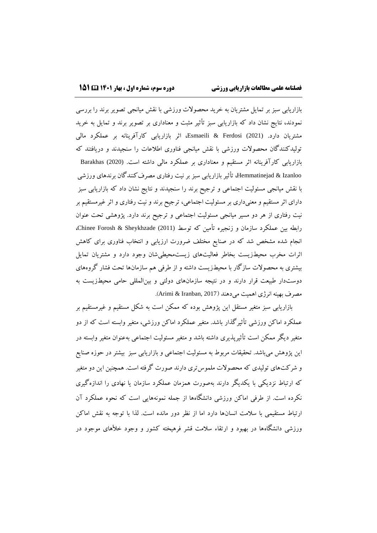بازاریابی سبز بر تمایل مشتریان به خرید محصوالت ورزشی با نقش میانجی تصویر برند را بررسی نمودند، نتایج نشان داد که بازاریابی سبز تأثیر مثبت و معناداری بر تصویر برند و تمایل به خرید مشتریان دارد. (2021) Ferdosi & Esmaeili، اثر بازاریابی کارآفرینانه بر عملکرد مالی تولیدکنندگان محصوالت ورزشی با نقش میانجی فناوری اطالعات را سنجیدند و دریافتند که بازاریابی کارآفرینانه اثر مستقیم و معناداری بر عملکرد مالی داشته است. (2020) Barakhas Izanloo & Hemmatinejad، تأثیر بازاریابی سبز بر نیت رفتاری مصرفکنندگان برندهای ورزشی با نقش میانجی مسئولیت اجتماعی و ترجیح برند را سنجیدند و نتایج نشان داد که بازاریابی سبز دارای اثر مستقیم و معنیداری بر مسئولیت اجتماعی، ترجیح برند و نیت رفتاری و اثر غیرمستقیم بر نیت رفتاری از هر دو مسیر میانجی مسئولیت اجتماعی و ترجیح برند دارد. پژوهشی تحت عنوان رابطه بین عملکرد سازمان و زنجیره تأمین که توسط (2011) Chinee Forosh & Sheykhzade، انجام شده مشخص شد که در صنایع مختلف ضرورت ارزیابی و انتخاب فناوری برای کاهش اثرات مخرب محیطزیست بخاطر فعالیتهای زیستمحیطیشان وجود دارد و مشتریان تمایل بیشتری به محصوالت سازگار با محیطزیست داشته و از طرفی هم سازمانها تحت فشار گروههای دوستدار طبیعت قرار دارند و در نتیجه سازمانهای دولتی و بینالمللی حامی محیطزیست به مصرف بهینه انرژی اهمیت میدهند )2017 ,Iranban & Arimi).

بازاریابی سبز متغیر مستقل این پژوهش بوده که ممکن است به شکل مستقیم و غیرمستقیم بر عملکرد اماکن ورزشی تأثیرگذار باشد. متغیر عملکرد اماکن ورزشی، متغیر وابسته است که از دو متغیر دیگر ممکن است تأثیرپذیری داشته باشد و متغیر مسئولیت اجتماعی بهعنوان متغیر وابسته در این پژوهش میباشد. تحقیقات مربوط به مسئولیت اجتماعی و بازاریابی سبز بیشتر در حوزه صنایع و شرکتهای تولیدی که محصوالت ملموستری دارند صورت گرفته است. همچنین این دو متغیر که ارتباط نزدیکی با یکدیگر دارند بهصورت همزمان عملکرد سازمان یا نهادی را اندازهگیری نکرده است. از طرفی اماکن ورزشی دانشگاهها از جمله نمونههایی است که نحوه عملکرد آن ارتباط مستقیمی با سالمت انسانها دارد اما از نظر دور مانده است. لذا با توجه به نقش اماکن ورزشی دانشگاهها در بهبود و ارتقاء سالمت قشر فرهیخته کشور و وجود خألهای موجود در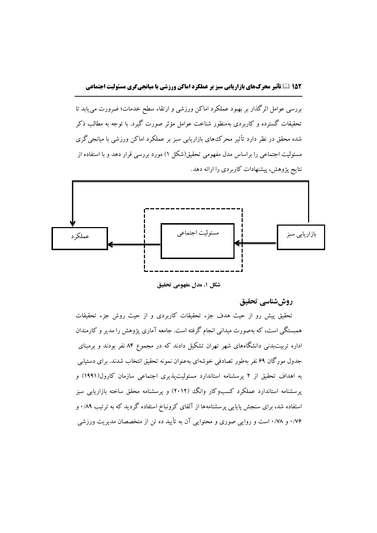# **152 تأثیر محرکهای بازاریابی سبز بر عملکرد اماکن ورزشی با میانجیگری مسئولیت اجتماعی**

بررسی عوامل اثرگذار بر بهبود عملکرد اماکن ورزشی و ارتقاء سطح خدمات؛ ضرورت مییابد تا تحقیقات گسترده و کاربردی بهمنظور شناخت عوامل مؤثر صورت گیرد. با توجه به مطالب ذکر شده محقق در نظر دارد تأثیر محرکهای بازاریابی سبز بر عملکرد اماکن ورزشی با میانجیگری مسئولیت اجتماعی را براساس مدل مفهومی تحقیق)شکل 1( مورد بررسی قرار دهد و با استفاده از نتایج پژوهش، پیشنهادات کاربردی را ارائه دهد.



**شکل .1 مدل مفهومی تحقیق**

**روششناسی تحقیق**

تحقیق پیش رو از حیث هدف جزء تحقیقات کاربردی و از حیث روش جزء تحقیقات همبستگی است، که بهصورت میدانی انجام گرفته است. جامعه آماری پژوهش را مدیر و کارمندان اداره تربیتبدنی دانشگاههای شهر تهران تشکیل دادند که در مجموع 84 نفر بودند و برمبنای جدول مورگان 69 نفر بهطور تصادفی خوشهای بهعنوان نمونه تحقیق انتخاب شدند. برای دستیابی به اهداف تحقیق از 2 پرسشنامه استاندارد مسئولیتپذیری اجتماعی سازمان کارول)1991( و پرسشنامه استاندارد عملکرد کسبوکار وانگ (۲۰۱۲) و پرسشنامه محقق ساخته بازاریابی سبز استفاده شد، برای سنجش پایایی پرسشنامهها از آلفای کرونباخ استفاده گردید که به ترتیب 0/89 و 0/76 و 0/78 است و روایی صوری و محتوایی آن به تأیید ده تن از متخصصان مدیریت ورزشی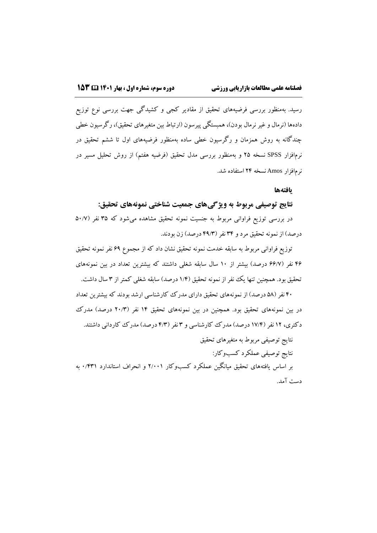رسید. بهمنظور بررسی فرضیههای تحقیق از مقادیر کجی و کشیدگی جهت بررسی نوع توزیع دادهها (نرمال و غیر نرمال بودن)، همبستگی پیرسون (ارتباط بین متغیرهای تحقیق)، رگرسیون خطی چندگانه به روش همزمان و رگرسیون خطی ساده بهمنظور فرضیههای اول تا ششم تحقیق در نرمافزار SPSS نسخه ۲۵ و بهمنظور بررسی مدل تحقیق (فرضیه هفتم) از روش تحلیل مسیر در نرمافزار Amos نسخه 24 استفاده شد.

#### **یافتهها**

#### **نتایج توصیفی مربوط به ویژگیهای جمعیت شناختی نمونههای تحقیق:**

در بررسی توزیع فراوانی مربوط به جنسیت نمونه تحقیق مشاهده میشود که ۳۵ نفر (۵۰/۷ درصد) از نمونه تحقیق مرد و ۳۴ نفر (۴۹/۳ درصد) زن بودند.

توزیع فراوانی مربوط به سابقه خدمت نمونه تحقیق نشان داد که از مجموع 69 نفر نمونه تحقیق ۴۶ نفر (۶۶/۷ درصد) بیشتر از ۱۰ سال سابقه شغلی داشتند که بیشترین تعداد در بین نمونههای تحقیق بود. همچنین تنها یک نفر از نمونه تحقیق (۱/۴ درصد) سابقه شغلی کمتر از ۳ سال داشت.

40 نفر )58 درصد( از نمونههای تحقیق دارای مدرک کارشناسی ارشد بودند که بیشترین تعداد در بین نمونههای تحقیق بود. همچنین در بین نمونههای تحقیق ۱۴ نفر (۲۰/۳ درصد) مدرک دکتری، ۱۲ نفر (۱۷/۴ درصد) مدرک کارشناسی و ۳ نفر (۴/۳ درصد) مدرک کاردانی داشتند.

نتایج توصیفی مربوط به متغیرهای تحقیق

نتایج توصیفی عملکرد کسبوکار:

بر اساس یافتههای تحقیق میانگین عملکرد کسبوکار 2/001 و انحراف استاندارد 0/431 به دست آمد.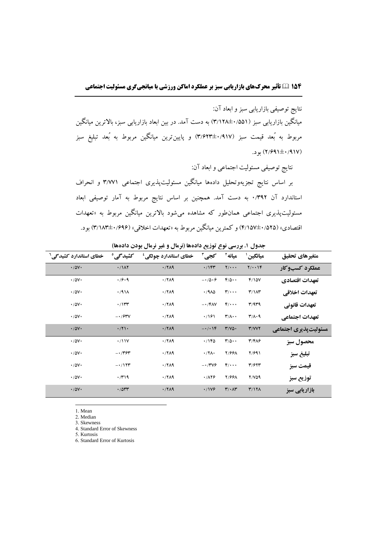نتایج توصیفی بازاریابی سبز و ابعاد آن:

میانگین بازاریابی سبز )3/128±0/551( به دست آمد. در بین ابعاد بازاریابی سبز، باالترین میانگین مربوط به بُعد قیمت سبز )3/623±0/917( و پایینترین میانگین مربوط به بُعد تبلیغ سبز )2/691±0/917( بود.

نتایج توصیفی مسئولیت اجتماعی و ابعاد آن:

بر اساس نتایج تجزیهوتحلیل دادهها میانگین مسئولیتپذیری اجتماعی 3/771 و انحراف استاندارد آن 0/392 به دست آمد. همچنین بر اساس نتایج مربوط به آمار توصیفی ابعاد مسئولیتپذیری اجتماعی همانطور که مشاهده میشود باالترین میانگین مربوط به »تعهدات اقتصادی« )4/157±0/525( و کمترین میانگین مربوط به »تعهدات اخالقی« )3/183±0/696( بود.

| خطای استاندارد کشیدگی <sup>۲</sup> | كشيدگى°          | خطای استاندارد چولگی <sup>؛</sup> | کجی آ                        | ميانه آ                                  | مبانگین '                              | متغيرهاي تحقيق        |
|------------------------------------|------------------|-----------------------------------|------------------------------|------------------------------------------|----------------------------------------|-----------------------|
| $\cdot$ / $\Delta$ $\vee$ $\cdot$  | $\cdot/1\Lambda$ | $\cdot$ /719                      | $\cdot$ /14٣                 | $Y/\cdots$                               | $Y/\cdot\cdot Y$                       | عملكرد كسبوكار        |
| $\cdot$ / $\Delta$ $\vee$ $\cdot$  | .79.9            | $\cdot$ /٢ $\Lambda$ ٩            | $-10.9$                      | $F/\Delta \cdot \cdot$                   | F/10V                                  | تعهدات اقتصادي        |
| $\cdot$ / $\Delta$ $\vee$ $\cdot$  | $\cdot$ /911     | $\cdot$ /۲۸۹                      | $\cdot$ /910                 | $\mathbf{r}/\cdots$                      | $T/\Lambda T$                          | تعهدات اخلاقي         |
| $\cdot$ / $\Delta$ $\vee$ $\cdot$  | $\cdot$ /۱۳۳     | $\cdot$ /٢ $\Lambda$ ٩            | $-1$ / FAV                   | $f/\cdots$                               | T/9T9                                  | تعهدات قانوني         |
| $\cdot$ / $\Delta$ $\vee$ $\cdot$  | $-1/5$           | $\cdot$ /٢ $\Lambda$ ٩            | .791                         | $\mathbf{r}/\mathbf{A}\cdot\mathbf{A}$   | $\mathbf{r}/\mathbf{A}\cdot\mathbf{q}$ | تعهدات اجتماعي        |
| $\cdot$ / $\Delta$ $\vee$ $\cdot$  | $\cdot$ /۲۱.     | $\cdot$ /719                      | $-1$ . $\sqrt{6}$            | $Y/V\Delta$                              | Y/VVY                                  | مسئولیت پذیری اجتماعی |
| $\cdot$ / $\Delta$ $\vee$ $\cdot$  | $\cdot$ /11V     | $\cdot$ /٢ $\Lambda$ ٩            | .796                         | $\mathbf{r}/\mathbf{r} \cdot \mathbf{r}$ | $T/F\Lambda$                           | محصول سبز             |
| $\cdot$ / $\Delta$ $\vee$ $\cdot$  | $ \cdot$ /۳۶۳    | $\cdot$ /۲۸۹                      | $\cdot$ /۲۸ $\cdot$          | <b>7/991</b>                             | 7/991                                  | تبليغ سبز             |
| $\cdot$ / $\Delta$ $\vee$ $\cdot$  | $-\cdot/177$     | $\cdot$ /٢ $\Lambda$ ٩            | $-1/\Upsilon\Upsilon\varphi$ | $f/\cdots$                               | T/577                                  | قيمت سبز              |
| $\cdot$ / $\Delta$ $\vee$ $\cdot$  | $\cdot$ /۳۱۹     | $\cdot$ /٢ $\Lambda$ ٩            | .7179                        | <b>Y/991</b>                             | $Y/V\Delta$ 9                          | توزيع سبز             |
| $\cdot$ / $\Delta$ $\vee$ $\cdot$  | .7044            | $\cdot$ /۲۸۹                      | ·/1V9                        | $\mathbf{r}/\cdot \mathbf{A}\mathbf{r}$  | Y/1Y                                   | بازاریابی سبز         |

<span id="page-10-0"></span>**جدول .1 بررسی نوع توزیع دادهها )نرمال و غیر نرمال بودن دادهها(**

1. Mean

l

2. Median 3. Skewness

4. Standard Error of Skewness

5. Kurtosis

6. Standard Error of Kurtosis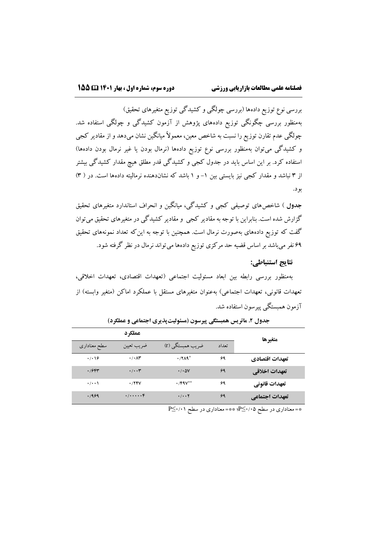بررسی نوع توزیع دادهها (بررسی چولگی و کشیدگی توزیع متغیرهای تحقیق) بهمنظور بررسی چگونگی توزیع دادههای پژوهش از آزمون کشیدگی و چولگی استفاده شد. چولگی عدم تقارن توزیع را نسبت به شاخص معین، معموالا میانگین نشان میدهد و از مقادیر کجی و کشیدگی میتوان بهمنظور بررسی نوع توزیع دادهها (نرمال بودن یا غیر نرمال بودن دادهها) استفاده کرد. بر این اساس باید در جدول کجی و کشیدگی قدر مطلق هیچ مقدار کشیدگی بیشتر از 3 نباشد و مقدار کجی نیز بایستی بین -1 و 1 باشد که نشاندهنده نرمالیته دادهها است. در ) [3\(](#page-10-0) [بود.](#page-10-0)

**[جدول](#page-10-0)** ( شاخصهای توصیفی کجی و کشیدگی، میانگین و انحراف استاندارد متغیرهای تحقیق گزارش شده است. بنابراین با توجه به مقادیر کجی و مقادیر کشیدگی در متغیرهای تحقیق میتوان گفت که توزیع دادههای بهصورت نرمال است. همچنین با توجه به اینکه تعداد نمونههای تحقیق 69 نفر میباشد بر اساس قضیه حد مرکزی توزیع دادهها میتواند نرمال در نظر گرفته شود.

# <span id="page-11-0"></span>**نتایج استنباطی:**

بهمنظور بررسی رابطه بین ابعاد مسئولیت اجتماعی )تعهدات اقتصادی، تعهدات اخالقی، تعهدات قانونی، تعهدات اجتماعی) بهعنوان متغیرهای مستقل با عملکرد اماکن (متغیر وابسته) از آزمون همبستگی پیرسون استفاده شد.

|                   | عملكرد                         |                               |       | متغيرها        |
|-------------------|--------------------------------|-------------------------------|-------|----------------|
| سطح معنادارى      | ضريب تعيين                     | ضریب همبستگی (r)              | تعداد |                |
| .7.19             | $\cdot$ / $\cdot$ $\wedge\tau$ | $\cdot$ / $\Lambda$ ۹*        | ۶۹    | تعهدات اقتصادي |
| .79               | $\cdot/\cdot\cdot$ ۳           | $\cdot$ / $\cdot$ $\Delta V$  | ۶۹    | تعهدات اخلاقي  |
| $\cdot$ / $\cdot$ | .748V                          | $\cdot$ /FAV**                | ۶۹    | تعهدات قانوني  |
| .1999             | (1)                            | $\cdot/\cdot\cdot$ $\Upsilon$ | ۶۹    | تعهدات اجتماعي |

جدول **۲. ماتریس همبستگی پیرسون (مسئولیتپذیری اجتماعی و عملکرد)** 

\*= معناداری در سطح 0/01⁄2−{؛ \*\*= معناداری در سطح 1⁄11≤P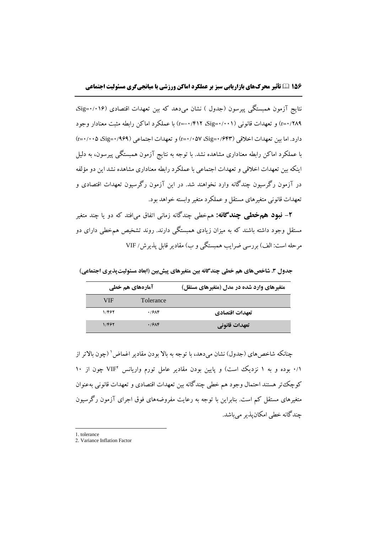نتایج آزمون همبستگی پیرسون (جدول ) نشان می دهد که بین تعهدات اقتصادی (۰/۱۶=Sig، 0/289=r )و تعهدات قانونی )0/001=Sig، -0/412=r )با عملکرد اماکن رابطه مثبت معنادار وجود دارد. اما بین تعهدات اخلاقی (Sig=۰/۶۴۳هـ Ci=۰/۰۰۵۷) و تعهدات اجتماعی (Sig=۰/۹۶۹هـ ۲=۰/۰۰۵) با عملکرد اماکن رابطه معناداری مشاهده نشد. با توجه به نتایج آزمون همبستگی پیرسون، به دلیل اینکه بین تعهدات اخالقی و تعهدات اجتماعی با عملکرد رابطه معناداری مشاهده نشد این دو مؤلفه در آزمون رگرسیون چندگانه وارد نخواهند شد. در این آزمون رگرسیون تعهدات اقتصادی و تعهدات قانونی متغیرهای مستقل و عملکرد متغیر وابسته خواهد بود.

**-2 نبود همخطی چندگانه:** همخطی چندگانه زمانی اتفاق میافتد که دو یا چند متغیر مستقل وجود داشته باشند که به میزان زیادی همبستگی دارند. روند تشخیص همخطی دارای دو مرحله است: الف) بررسی ضرایب همبستگی و ب) مقادیر قابل پذیرش/ VIF

**جدول .3 شاخصهای هم خطی چندگانه بین متغیرهای پیشبین )ابعاد مسئولیتپذیری اجتماعی(**

|            | آمارههای هم خطی | متغیرهای وارد شده در مدل (متغیرهای مستقل) |
|------------|-----------------|-------------------------------------------|
| <b>VIF</b> | Tolerance       |                                           |
| 1/۴۶۲      | .79             | تعهدات اقتصادي                            |
| 1/467      | .79             | <b>تعهدات قانونی</b>                      |

چنانکه شاخصهای (جدول) نشان میدهد، با توجه به بالا بودن مقادیر اغماض ` (چون بالاتر از ۰/۱ بوده و به ۱ نزدیک است) و پایین بودن مقادیر عامل تورم واریانس 'VIF چون از ۱۰ کوچکتر هستند احتمال وجود هم خطی چندگانه بین تعهدات اقتصادی و تعهدات قانونی بهعنوان متغیرهای مستقل کم است. بنابراین با توجه به رعایت مفروضههای فوق اجرای آزمون رگرسیون چندگانه خطی امکانپذیرمیباشد.

1. tolerance

 $\overline{a}$ 

<sup>2.</sup> Variance Inflation Factor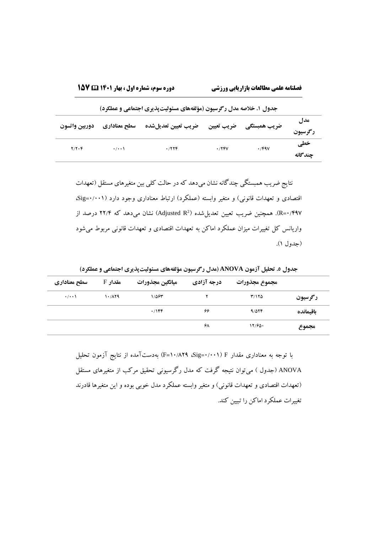| جدول ۱. خلاصه مدل رگرسیون (مؤلفههای مسئولیتپذیری اجتماعی و عملکرد) |                   |                     |            |              |                |  |  |  |  |
|--------------------------------------------------------------------|-------------------|---------------------|------------|--------------|----------------|--|--|--|--|
| دوربين وأتسون                                                      | سطح معناداري      | ضريب تعيين تعديلشده | ضريب تعيين | ضریب همبستگی | مدل<br>رگرسيون |  |  |  |  |
| $Y/Y\cdot Y$                                                       | $\cdot$ / $\cdot$ | .7779               | .789       | $\cdot$ /۴۹۷ | خطی<br>چندگانه |  |  |  |  |

<span id="page-13-0"></span>نتایج ضریب همبستگی چندگانه نشان میدهد که در حالت کلی بین متغیرهای مستقل )تعهدات اقتصادی و تعهدات قانونی) و متغیر وابسته (عملکرد) ارتباط معناداری وجود دارد (sig=۰/۰۰۱) 2 0/497=R). همچنین ضریب تعیین تعدیلشده ) R Adjusted )نشان میدهد که 22/4 درصد از واریانس کل تغییرات میزان عملکرد اماکن به تعهدات اقتصادی و تعهدات قانونی مربوط میشود [\)جدول 1\(](#page-13-0).

**مجموع مجذورات درجه آزادی میانگین مجذورات مقدار** F **سطح معناداری رگرسیون** 3/125 2 1/563 10/829 0/001 **باقیمانده** 9/524 66 0/144 **مجموع** 12/650 68

<span id="page-13-1"></span>**جدول .5 تحلیل آزمون ANOVA( مدل رگرسیون مؤلفههای مسئولیتپذیری اجتماعی و عملکرد(**

با توجه به معناداری مقدار F( 0/001=Sig، 10/829=F )بهدستآمده از نتایج آزمون تحلیل ANOVA( [جدول \(](#page-13-1) میتوان نتیجه گرفت که مدل رگرسیونی تحقیق مرکب از متغیرهای مستقل (تعهدات اقتصادی و تعهدات قانونی) و متغیر وابسته عملکرد مدل خوبی بوده و این متغیرها قادرند تغییرات عملکرد اماکن را تبیین کند.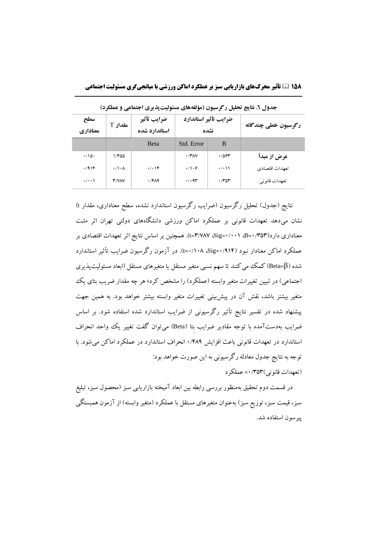| د ک<br>. <del>.</del> |                      |                              |                               |                   |                     |  |  |  |  |
|-----------------------|----------------------|------------------------------|-------------------------------|-------------------|---------------------|--|--|--|--|
| سطح<br>معناداري       | مقدار T              | ضرايب تأثير<br>استاندارد شده | ضرايب تأثير استاندارد<br>نشده |                   | رگرسیون خطی چندگانه |  |  |  |  |
|                       |                      | <b>B</b> eta                 | Std. Error                    | B                 |                     |  |  |  |  |
| $\cdot/\sqrt{2}$      | 1/400                |                              | $\cdot$ /۳۸۷                  | .7854             | عرض از مبدأ         |  |  |  |  |
| .7916                 | $\cdot/\cdot \wedge$ | $\cdot/\cdot$ \F             | $\cdot/\cdot$ ۶               | $\cdot$ / $\cdot$ | تعهدات اقتصادي      |  |  |  |  |
| $\cdot$ / $\cdot$     | <b>T/VAV</b>         | $\cdot$ /۴۸۹                 | $\cdot$ / $\cdot$ 9٣          | .7707             | تعهدات قانو نی      |  |  |  |  |

**جدول .6 نتایج تحلیل رگرسیون )مؤلفههای مسئولیتپذیری اجتماعی و عملکرد(**

نتایج (جدول) تحلیل رگرسیون (ضرایب رگرسیون استاندارد نشده، سطح معناداری، مقدار t) نشان میدهد تعهدات قانونی بر عملکرد اماکن ورزشی دانشگاههای دولتی تهران اثر مثبت معناداری دارد)0/353=B، 0/001=Sig، 3/787=t). همچنین بر اساس نتایج اثر تعهدات اقتصادی بر عملکرد اماکن معنادار نبود )0/914=Sig، 0/108=t). در آزمون رگرسیون ضرایب تأثیر استاندارد شده (Beta=β) کمک می کنند تا سهم نسبی متغیر مستقل یا متغیرهای مستقل (ابعاد مسئولیتپذیری اجتماعی) در تبیین تغییرات متغیر وابسته (عملکرد) را مشخص کرد؛ هر چه مقدار ضریب بتای یک متغیر بیشتر باشد، نقش آن در پیشبینی تغییرات متغیر وابسته بیشتر خواهد بود. به همین جهت پیشنهاد شده در تفسیر نتایج تأثیر رگرسیونی از ضرایب استاندارد شده استفاده شود. بر اساس ضرایب بهدستآمده با توجه مقادیر ضرایب بِتا (Beta) میتوان گفت تغییر یک واحد انحراف استاندارد در تعهدات قانونی باعث افزایش 0/489 انحراف استاندارد در عملکرد اماکن میشود. با توجه به نتایج جدول معادله رگرسیونی به این صورت خواهد بود: )تعهدات قانونی(0/353= عملکرد

در قسمت دوم تحقیق بهمنظور بررسی رابطه بین ابعاد آمیخته بازاریابی سبز (محصول سبز، تبلیغ سبز، قیمت سبز، توزیع سبز) بهعنوان متغیرهای مستقل با عملکرد (متغیر وابسته) از آزمون همبستگی پیرسون استفاده شد.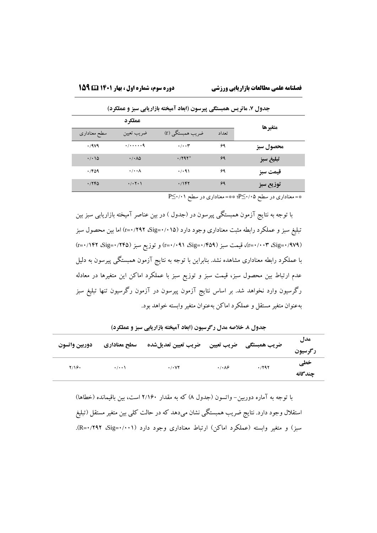| $\sim$ $\sim$                | . د سی                                            | $\sim$<br>- ڪ- جي رو س |       | . . ש     |
|------------------------------|---------------------------------------------------|------------------------|-------|-----------|
|                              | عملكر د                                           |                        |       | متغيرها   |
| سطح معنادارى                 | ضريب تعيين                                        | ضریب همبستگی (r)       | تعداد |           |
| .444                         | $\cdot$ / $\cdot$ $\cdot$ $\cdot$ $\cdot$ $\cdot$ | $\cdot/\cdot\cdot$ ۳   | ۶۹    | محصول سبز |
| $\cdot$ / $\cdot$ / $\Delta$ | $\cdot$ / $\cdot \wedge \Delta$                   | $.791*$                | 99    | تبليغ سبز |
| .769                         | $\cdot/\cdot\cdot\Lambda$                         | $\cdot$ / $\cdot$ 91   | ۶۹    | قيمت سبز  |
| .776                         | $\cdot$ / $\cdot$ $\uparrow$ $\cdot$ $\uparrow$   | .797                   | ۶۹    | توزيع سبز |

**جدول .7 ماتریس همبستگی پیرسون )ابعاد آمیخته بازاریابی سبز و عملکرد(**

<span id="page-15-0"></span>\*= معناداری در سطح 0/05≤P؛ \*\*= معناداری در سطح 0/01≤<sup>P</sup>

با توجه به نتایج آزمون همبستگی پیرسون در (جدول ) در بین عناصر آمیخته بازاریابی سبز بین تبلیغ سبز و عملکرد رابطه مثبت معناداری وجود دارد )0/015=Sig، 0/292=r )اما بین محصول سبز )r=0/142 ،Sig=0/245( سبز توزیع و( r=0/091 ،Sig=0/459( سبز قیمت ،(r=0/003 ،Sig=0/979( با عملکرد رابطه معناداری مشاهده نشد. بنابراین با توجه به نتایج آزمون همبستگی پیرسون به دلیل عدم ارتباط بین محصول سبز، قیمت سبز و توزیع سبز با عملکرد اماکن این متغیرها در معادله رگرسیون وارد نخواهد شد. بر اساس نتایج آزمون پیرسون در آزمون رگرسیون تنها تبلیغ سبز بهعنوان متغیر مستقل و عملکرد اماکن بهعنوان متغیر وابسته خواهد بود.

| دوربين وأتسون | سطح معناداري      | ضريب تعيين لصريب تعيين تعديلشده |                              | ضریب همبستگی | مدں<br>رگرسيون |
|---------------|-------------------|---------------------------------|------------------------------|--------------|----------------|
| Y/19.         | $\cdot$ / $\cdot$ | $\cdot$ / $\cdot$ YY            | $\cdot/\cdot \wedge \hat{z}$ | .797         | خطی<br>جندگانه |

**جدول .8 خالصه مدل رگرسیون )ابعاد آمیخته بازاریابی سبز و عملکرد(**

با توجه به آماره دوربین- واتسون (جدول ۸) که به مقدار ۲/۱۶۰ است، بین باقیمانده (خطاها) استقالل وجود دارد. نتایج ضریب همبستگی نشان میدهد که در حالت کلی بین متغیر مستقل )تبلیغ سبز) و متغیر وابسته (عملکرد اماکن) ارتباط معناداری وجود دارد (sig=۰/۰۰۱{-R).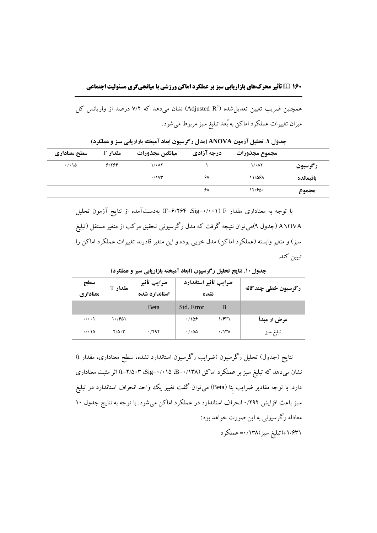**16۰ تأثیر محرکهای بازاریابی سبز بر عملکرد اماکن ورزشی با میانجیگری مسئولیت اجتماعی**

همچنین ضریب تعیین تعدیل $\mathbb{R}^2$  (Adjusted  $\mathbb{R}^2$ ) نشان میدهد که ۷/۲ درصد از واریانس کل میزان تغییرات عملکرد اماکن به بُعد تبلیغ سبز مربوط میشود.

|           | مجموع مجذورات       | درجه آزادی | ميانگين مجذورات     | 5 مقدار | سطح معناداري |
|-----------|---------------------|------------|---------------------|---------|--------------|
| رگرسيون   | $1/\cdot \Lambda$ ٢ |            | $1/\cdot \Lambda Y$ | 9/196   | $\cdot$ 15   |
| باقيمانده | 11/588              | ۶٧         | $\cdot$ / $\vee$ r  |         |              |
| مجموع     | 17/94.              | ۶۸         |                     |         |              |

<span id="page-16-0"></span>**جدول .9 تحلیل آزمون ANOVA( مدل رگرسیون ابعاد آمیخته بازاریابی سبز و عملکرد(**

با توجه به معناداری مقدار F( 0/001=Sig، 6/264=F )بهدستآمده از نتایج آزمون تحلیل ANOVA[\(](#page-16-0) [جدول 9](#page-16-0)(میتوان نتیجه گرفت که مدل رگرسیونی تحقیق مرکب از متغیر مستقل )تبلیغ سبز) و متغیر وابسته (عملکرد اماکن) مدل خوبی بوده و این متغیر قادرند تغییرات عملکرد اماکن را تبیین کند.

| سطح<br>معناداري              | مقدار T            | ضرايب تأثير<br>استاندارد شده | ضرايب تأثير استاندارد<br>نشده    |              | رگرسیون خطی چندگانه |
|------------------------------|--------------------|------------------------------|----------------------------------|--------------|---------------------|
|                              |                    | Beta                         | Std. Error                       | B            |                     |
| $\cdot$ / $\cdot$            | ۱۰/۴۵۱             |                              | .789                             | 1/941        | عرض از مبدأ         |
| $\cdot$ / $\cdot$ / $\Delta$ | $Y/\Delta \cdot Y$ | .7997                        | $\cdot$ / $\cdot$ $\Delta\Delta$ | $\cdot$ /۱۳۸ | تبليغ سبز           |

<span id="page-16-1"></span>**جدول.10 نتایج تحلیل رگرسیون )ابعاد آمیخته بازاریابی سبز و عملکرد(**

نتایج (جدول) تحلیل رگرسیون (ضرایب رگرسیون استاندارد نشده، سطح معناداری، مقدار t) نشان میدهد که تبلیغ سبز بر عملکرد اماکن )0/138=B، 0/015=Sig، 2/503=t )اثر مثبت معناداری دارد. با توجه مقادیر ضرایب بِتا (Beta) میتوان گفت تغییر یک وواحد انحراف استاندارد در تبلیغ سبز باعث افزایش ۰/۲۹۲ انحراف استاندارد در عملکرد اماکن می شود. با توجه به نتایج جدول ۱۰ معادله رگرسیونی به این صورت خواهد بود: +1/631)تبلیغ سبز(0/138= عملکرد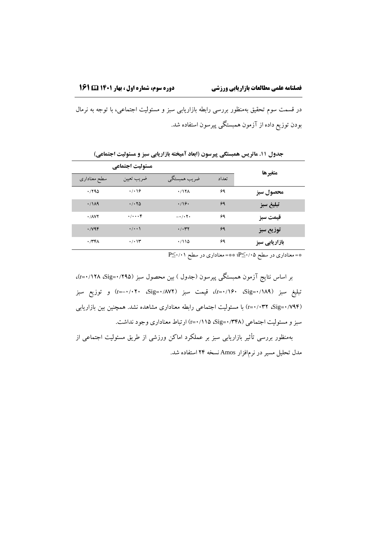در قسمت سوم تحقیق بهمنظور بررسی رابطه بازاریابی سبز و مسئولیت اجتماعی، با توجه به نرمال بودن توزیع داده از آزمون همبستگی پیرسون استفاده شد.

|                                  | مسئوليت اجتماعي      |                                 |       | متغيرها       |
|----------------------------------|----------------------|---------------------------------|-------|---------------|
| سطح معناداری                     | ضريب تعيين           | ضريب همبستگي                    | تعداد |               |
| .790                             | $\cdot$ / $\cdot$ 16 | .717 <sub>A</sub>               | ۶۹    | محصول سبز     |
| $\cdot$ /119                     | .7.70                | $\cdot$ /16 $\cdot$             | ۶۹    | تبليغ سبز     |
| $\cdot$ / $\wedge$ $\vee$ $\vee$ | $\cdot/\cdot\cdot$   | $-1$ . $\uparrow$ .             | ۶۹    | قيمت سبز      |
| $\cdot$ /var                     | $\cdot/\cdot\cdot$   | $\cdot$ / $\cdot$ $\tau$ $\tau$ | ۶۹    | توزيع سبز     |
| $\cdot$ /۳۴۸                     | $\cdot$ / $\cdot$    | .7110                           | ۶۹    | بازاریابی سبز |

**جدول .11 ماتریس همبستگی پیرسون )ابعاد آمیخته بازاریابی سبز و مسئولیت اجتماعی(**

<span id="page-17-0"></span>\*= معناداری در سطح 0/05≤P؛ \*\*= معناداری در سطح 0/01≤<sup>P</sup>

بر اساس نتایج آزمون همبستگی پیرسون [\)جدول \(](#page-17-0) بین محصول سبز )0/295=Sig، 0/128=r)، تبلیغ سبز )0/189=Sig، 0/160=r)، قیمت سبز )0/872=Sig، -0/020=r )و توزیع سبز )0/794=Sig، 0/032=r )با مسئولیت اجتماعی رابطه معناداری مشاهده نشد. همچنین بین بازاریابی سبز و مسئولیت اجتماعی )0/348=Sig، 0/115=r )ارتباط معناداری وجود نداشت.

بهمنظور بررسی تأثیر بازاریابی سبز بر عملکرد اماکن ورزشی از طریق مسئولیت اجتماعی از مدل تحلیل مسیر در نرمافزار Amos نسخه 24 استفاده شد.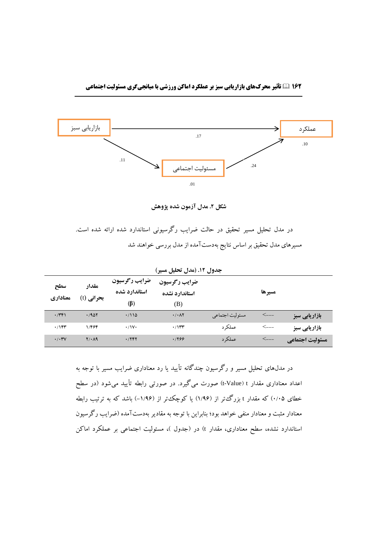

**شکل .2 مدل آزمون شده پژوهش**

| در مدل تحلیل مسیر تحقیق در حالت ضرایب رگرسیونی استاندارد شده ارائه شده است. |  |                                                                  |  |  |  |
|-----------------------------------------------------------------------------|--|------------------------------------------------------------------|--|--|--|
|                                                                             |  | مسیرهای مدل تحقیق بر اساس نتایج بهدستآمده از مدل بررسی خواهند شد |  |  |  |

| سطح<br>معناداري         | مقدار<br>بحرانی (t) | ضرايب رگرسيون<br>استاندارد شده<br>$(\beta)$ | ╰◢┅<br><u>. u</u><br>--<br>ضرايب رگرسيون<br>استاندارد نشده<br>(B) | --              | مسيرها      |                        |
|-------------------------|---------------------|---------------------------------------------|-------------------------------------------------------------------|-----------------|-------------|------------------------|
| $\cdot$ /٣۴١            | .7907               | .7110                                       | $\cdot$ / $\cdot$ $\wedge$ Y                                      | مسئوليت اجتماعي | $\lt_{---}$ | <b>ّ بازاریابی سبز</b> |
| .795                    | 1/464               | $\cdot$ /\\\                                | $\cdot$ / $\gamma$                                                | عملکر د         | $\lt_{---}$ | بازاریابی سبز          |
| $\cdot$ / $\cdot$ ۳ $V$ | $Y/\cdot \Lambda$ 9 | .7497                                       | .1999                                                             | عملکر د         | $\lt_{---}$ | مسئوليت اجتماعي        |

<span id="page-18-0"></span>**جدول .12 )مدل تحلیل مسیر(**

در مدلهای تحلیل مسیر و رگرسیون چندگانه تأیید یا رد معناداری ضرایب مسیر با توجه به اعداد معناداری مقدار t-Value)t صورت میگیرد. در صورتی رابطه تأیید می شود (در سطح خطای 0/05( که مقدار <sup>t</sup> بزرگتر از )1/96( یا کوچکتر از )-1/96( باشد که به ترتیب رابطه معنادار مثبت و معنادار منفی خواهد بود؛ بنابراین با توجه به مقادیر بهدستآمده )ضرایب رگرسیون استاندارد نشده، سطح معناداری، مقدار t) در (جدول )، مسئولیت اجتماعی بر عملکرد اماکن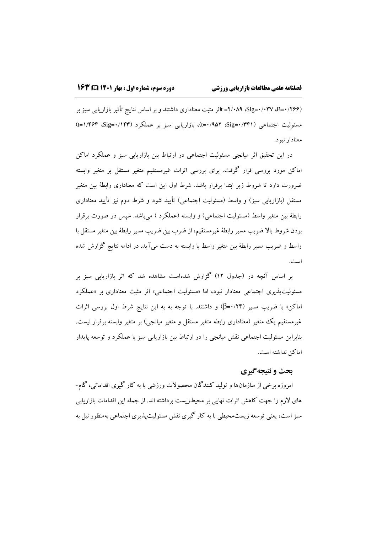)0/266=B، 0/037=Sig، 2/089 =tاثر مثبت معناداری داشتند و بر اساس نتایج تأثیربازاریابی سبز بر مسئولیت اجتماعی )0/341=Sig، 0/952=t)، بازاریابی سبز بر عملکرد )0/143=Sig، 1/464=t ) معنادار نبود.

در این تحقیق اثر میانجی مسئولیت اجتماعی در ارتباط بین بازاریابی سبز و عملکرد اماکن اماکن مورد بررسی قرار گرفت. برای بررسی اثرات غیرمستقیم متغیر مستقل بر متغیر وابسته ضرورت دارد تا شروط زیر ابتدا برقرار باشد. شرط اول این است که معناداری رابطۀ بین متغیر مستقل (بازاریابی سبز) و واسط (مسئولیت اجتماعی) تأیید شود و شرط دوم نیز تأیید معناداری رابطۀ بین متغیر واسط (مسئولیت اجتماعی) و وابسته (عملکرد ) میباشد. سپس در صورت برقرار بودن شروط باال ضریب مسیر رابطۀ غیرمستقیم، از ضرب بین ضریب مسیر رابطۀ بین متغیر مستقل با واسط و ضریب مسیر رابطۀ بین متغیر واسط با وابسته به دست میآید. در ادامه نتایج گزارش شده است.

بر اساس آنچه در )جدول 12( گزارش شدهاست مشاهده شد که اثر بازاریابی سبز بر مسئولیتپذیری اجتماعی معنادار نبود، اما «مسئولیت اجتماعی» اثر مثبت معناداری بر «عملکرد اماکن« با ضریب مسیر )0/24=β )و داشتند. با توجه به به این نتایج شرط اول بررسی اثرات غیرمستقیم یک متغیر (معناداری رابطه متغیر مستقل و متغیر میانجی) بر متغیر وابسته برقرار نیست. بنابراین مسئولیت اجتماعی نقش میانجی را در ارتباط بین بازاریابی سبز با عملکرد و توسعه پایدار اماکن نداشته است.

# **بحث و نتیجهگیری**

امروزه برخی از سازمانها و تولید کنندگان محصوالت ورزشی با به کار گیری اقداماتی، گام- های الزم را جهت کاهش اثرات نهایی بر محیطزیست برداشته اند. از جمله این اقدامات بازاریابی سبز است، یعنی توسعه زیستمحیطی با به کار گیری نقش مسئولیتپذیری اجتماعی بهمنظور نیل به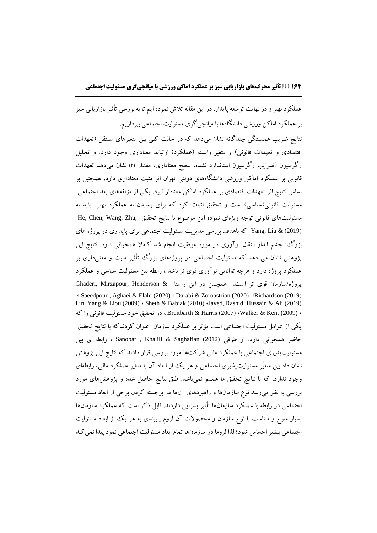**16۴ تأثیر محرکهای بازاریابی سبز بر عملکرد اماکن ورزشی با میانجیگری مسئولیت اجتماعی**

عملکرد بهتر و در نهایت توسعه پایدار. در این مقاله تالش نموده ایم تا به بررسی تأثیربازاریابی سبز بر عملکرد اماکن ورزشی دانشگاهها با میانجیگری مسئولیت اجتماعی بپردازیم. نتایج ضریب همبستگی چندگانه نشان می،دهد که در حالت کلی بین متغیرهای مستقل (تعهدات اقتصادی و تعهدات قانونی) و متغیر وابسته (عملکرد) ارتباط معناداری وجود دارد. و تحلیل رگرسیون )ضرایب رگرسیون استاندارد نشده، سطح معناداری، مقدار (t (نشان میدهد تعهدات قانونی بر عملکرد اماکن ورزشی دانشگاههای دولتی تهران اثر مثبت معناداری دارد، همچنین بر اساس نتایج اثر تعهدات اقتصادی بر عملکرد اماکن معنادار نبود. یکی از مؤلفههای بعد اجتماعی مسئولیت قانونی(سیاسی) است و تحقیق اثبات کرد که برای رسیدن به عملکرد بهتر باید به مسئولیتهای قانونی توجه ویژهای نمود؛ این موضوع با نتایج تحقیق He, Chen, Wang, Zhu, (2019) & Liu ,Yang که باهدف بررسی مدیریت مسئولیت اجتماعی برای پایداری در پروژه های بزرگ: چشم انداز انتقال نوآوری در مورد موفقیت انجام شد کامال همخوانی دارد. نتایج این پژوهش نشان می دهد که مسئولیت اجتماعی در پروژههای بزرگ تأثیر مثبت و معنیداری بر عملکرد پروژه دارد و هرچه توانایی نوآوری قوی تر باشد ، رابطه بین مسئولیت سیاسی و عملکرد پروژه/سازمان قوی تر است. همچنین در این راستا & Ghaderi, Mirzapour, Henderson ، Saeedpour , Aghaei & Elahi (2020) ، Darabi & Zoroastrian (2020) ،Richardson (2019) Lin, Yang & Liou (2009) ، Sheth & Babiak (2010) ،Javed, Rashid, Hussain & Ali (2019) ، (2009) Kent & Walker،) 2007 (Harris & Breitbarth ، در تحقیق خود مسئولیت قانونی را که یکی از عوامل مسئولیت اجتماعی است مؤثر بر عملکرد سازمان عنوان کردندکه با نتایج تحقیق حاضر همخوانی دارد. از طرفی (2012) Saghafian & Khalili , Sanobar ، رابطه ی بین مسئولیتپذیری اجتماعی با عملکرد مالی شرکتها مورد بررسی قرار دادند که نتایج این پژوهش نشان داد بین متغیّر مسئولیت پذیری اجتماعی و هر یک از ابعاد آن با متغیّر عملکرد مالی، رابطهای وجود ندارد. که با نتایج تحقیق ما همسو نمیباشد. طبق نتایج حاصل شده و پژوهشهای مورد بررسی به نظر میرسد نوع سازمانها و راهبردهای آنها در برجسته کردن برخی از ابعاد مسئولیت اجتماعی در رابطه با عملکرد سازمانها تأثیر بسزایی داردند. قابل ذکر است که عملکرد سازمانها بسیار متوع و متناسب با نوع سازمان و محصوالت آن لزوم پایبندی به هر یک از ابعاد مسئولیت اجتماعی بیشتر احساس شود؛ لذا لزوما در سازمانها تمام ابعاد مسئولیت اجتماعی نمود پیدا نمیکند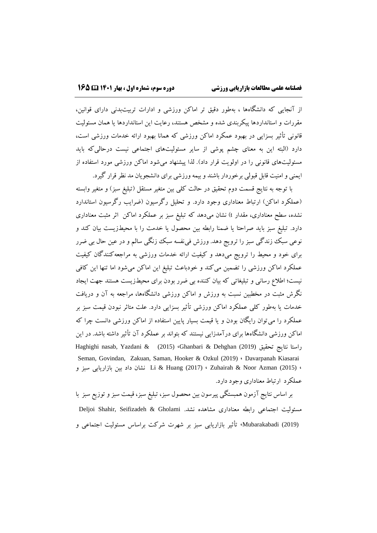از آنجایی که دانشگاهها ، بهطور دقیق تر اماکن ورزشی و ادارات تربیتبدنی دارای قوانین، مقررات و استانداردها پیکربندی شده و مشخص هستند، رعایت این استانداردها یا همان مسئولیت قانونی تأثیر بسزایی در بهبود عمکرد اماکن ورزشی که همانا بهبود ارائه خدمات ورزشی است، دارد (البته این به معنای چشم پوشی از سایر مسئولیتهای اجتماعی نیست درحالی که باید مسئولیتهای قانونی را در اولویت قرار داد). لذا پیشنهاد میشود اماکن ورزشی مورد استفاده از ایمنی و امنیت قابل قبولی برخوردار باشند و بیمه ورزشی برای دانشجویان مد نظر قرار گیرد.

با توجه به نتایج قسمت دوم تحقیق در حالت کلی بین متغیر مستقل )تبلیغ سبز( و متغیر وابسته (عملکرد اماکن) ارتباط معناداری وجود دارد. و تحلیل رگرسیون (ضرایب رگرسیون استاندارد نشده، سطح معناداری، مقدار t )نشان میدهد که تبلیغ سبز بر عملکرد اماکن اثر مثبت معناداری دارد. تبلیغ سبز باید صراحتا یا ضمنا رابطه بین محصول یا خدمت را با محیطزیست بیان کند و نوعی سبک زندگی سبز را ترویج دهد. ورزش فی نفسه سبک زنگی سالم و در عین حال بی ضرر برای خود و محیط را ترویج میدهد و کیفیت ارائه خدمات ورزشی به مراجعهکنندگان کیفیت عملکرد اماکن ورزشی را تضمین میکند و خودباعث تبلیغ این اماکن میشود اما تنها این کافی نیست؛ اطالع رسانی و تبلیغاتی که بیان کننده بی ضرر بودن برای محیطزیست هستند جهت ایجاد نگرش مثبت در مخطبین نسبت به ورزش و اماکن ورزشی دانشگاهها، مراجعه به آن و دریافت خدمات یا بهطور کلی عملکرد اماکن ورزشی تأثیر بسزایی دارد. علت متاثر نبودن قیمت سبز بر عملکرد را میتوان رایگان بودن و یا قیمت بسیار پایین استفاده از اماکن ورزشی دانست چرا که اماکن ورزشی دانشگاهها برای درآمدزایی نیستند که بتواند بر عملکرد آن تأثیر داشته باشد. در این Haghighi nasab, Yazdani & (2015) ،Ghanbari & Dehghan (2019) تحقیق نتایج راستا Seman, Govindan, Zakuan, Saman, Hooker & Ozkul (2019) ، Davarpanah Kiasarai ، (2015) Azman Noor & Zuhairah ،) 2017 (Huang & Li نشان داد بین بازاریابی سبز و عملکرد ارتباط معناداری وجود دارد.

بر اساس نتایج آزمون همبستگی پیرسون بین محصول سبز، تبلیغ سبز، قیمت سبز و توزیع سبز با مسئولیت اجتماعی رابطه معناداری مشاهده نشد. Deljoi Shahir, Seifizadeh & Gholami (2019) Mubarakabadi، [تأثیر بازاریابی سبز بر شهرت شرکت براساس مسئولیت اجتماعی و](https://www.sid.ir/fa/journal/ViewPaper.aspx?id=359104)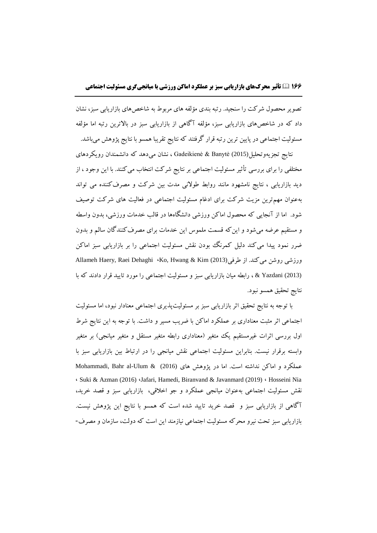[تصویر محصول شرکت](https://www.sid.ir/fa/journal/ViewPaper.aspx?id=359104) را سنجید. رتبه بندی مؤلفه های مربوط به شاخصهای بازاریابی سبز، نشان داد که در شاخصهای بازاریابی سبز، مؤلفه آگاهی از بازاریابی سبز در باالترین رتبه اما مؤلفه مسئولیت اجتماعی در پایین ترین رتبه قرار گرفتند که نتایج تقریبا همسو با نتایج پژوهش میباشد.

نتایج تجزیهوتحلیل(2015) Banytė & Gadeikienė ، نشان میدهد که دانشمندان رویکردهای مختلفی را برای بررسی تأثیر مسئولیت اجتماعی بر نتایج شرکت انتخاب میکنند. با این وجود ، از دید بازاریابی ، نتایج نامشهود مانند روابط طوالنی مدت بین شرکت و مصرفکننده می تواند بهعنوان مهمترین مزیت شرکت برای ادغام مسئولیت اجتماعی در فعالیت های شرکت توصیف شود. اما از آنجایی که محصول اماکن ورزشی دانشگاهها در قالب خدمات ورزشی، بدون واسطه و مستقیم عرضه میشود و اینکه قسمت ملموس این خدمات برای مصرفکنندگان سالم و بدون ضرر نمود پیدا می کند دلیل کمرنگ بودن نقش مسئولیت اجتماعی را بر بازاریابی سبز اماکن Allameh Haery, Raei Dehaghi ،Ko, Hwang & Kim (2013)طرفی از .میکند روشن ورزشی (2013) Yazdani & ، رابطه میان بازاریابی سبز و مسئولیت اجتماعی را مورد تایید قرار دادند که با نتایج تحقیق همسو نبود.

با توجه به نتایج تحقیق اثر بازاریابی سبز بر مسئولیتپذیری اجتماعی معنادار نبود، اما مسئولیت اجتماعی اثر مثبت معناداری بر عملکرد اماکن با ضریب مسیر و داشت. با توجه به این نتایج شرط اول بررسی اثرات غیرمستقیم یک متغیر (معناداری رابطه متغیر مستقل و متغیر میانجی) بر متغیر وابسته برقرار نیست. بنابراین مسئولیت اجتماعی نقش میانجی را در ارتباط بین بازاریابی سبز با عملکرد و اماکن نداشته است. اما در پژوهش های Mohammadi, Bahr al-Ulum & (2016) ، Suki & Azman (2016) ،Jafari, Hamedi, Biranvand & Javanmard (2019) ، Hosseini Nia نقش مسئولیت اجتماعی بهعنوان میانجی عملکرد و جو اخالقی، بازاریابی سبز و قصد خرید، آگاهی از بازاریابی سبز و قصد خرید تایید شده است که همسو با نتایج این پژوهش نیست. بازاریابی سبز تحت نیرو محرکه مسئولیت اجتماعی نیازمند این است که دولت، سازمان و مصرف-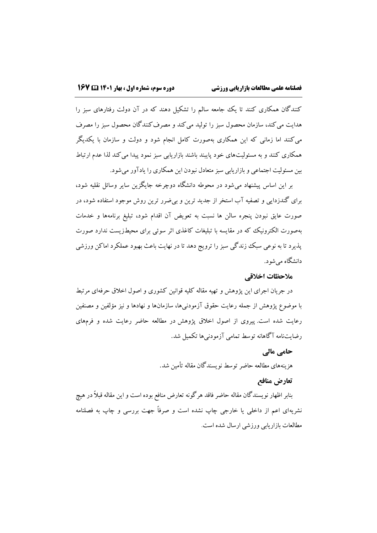کنندگان همکاری کنند تا یک جامعه سالم را تشکیل دهند که در آن دولت رفتارهای سبز را هدایت میکند، سازمان محصول سبز را تولید میکند و مصرفکنندگان محصول سبز را مصرف میکنند اما زمانی که این همکاری بهصورت کامل انجام شود و دولت و سازمان با یکدیگر همکاری کنند و به مسئولیتهای خود پایبند باشند بازاریابی سبز نمود پیدا میکند لذا عدم ارتباط بین مسئولیت اجتماعی و بازاریابی سبز متعادل نبودن این همکاری را یادآور میشود.

بر این اساس پیشنهاد میشود در محوطه دانشگاه دوچرخه جایگزین سایر وسائل نقلیه شود، برای گندزدایی و تصفیه آب استخر از جدید ترین و بیضرر ترین روش موجود استفاده شود، در صورت عایق نبودن پنجره سالن ها نسبت به تعویض آن اقدام شود، تبلیغ برنامهها و خدمات بهصورت الکترونیک که در مقایسه با تبلیغات کاغذی اثر سوئی برای محیطزیست ندارد صورت پذیرد تا به نوعی سبک زندگی سبز را ترویج دهد تا در نهایت باعث بهبود عملکرد اماکن ورزشی دانشگاه میشود.

### **مالحظات اخالقی**

در جریان اجرای این پژوهش و تهیه مقاله کلیه قوانین کشوری و اصول اخالق حرفهای مرتبط با موضوع پژوهش از جمله رعایت حقوق آزمودنیها، سازمانها و نهادها و نیز مؤلفین و مصنفین رعایت شده است. پیروی از اصول اخالق پژوهش در مطالعه حاضر رعایت شده و فرمهای رضایتنامه آگاهانه توسط تمامی آزمودنیها تکمیل شد.

## **حامی مالی**

هزینههای مطالعه حاضر توسط نویسندگان مقاله تأمین شد.

# **تعارض منافع**

بنابر اظهار نویسندگان مقاله حاضر فاقد هرگونه تعارض منافع بوده است و این مقاله قبالا در هیچ نشریهای اعم از داخلی یا خارجی چاپ نشده است و صرفاا جهت بررسی و چاپ به فصلنامه مطالعات بازاریابی ورزشی ارسال شده است.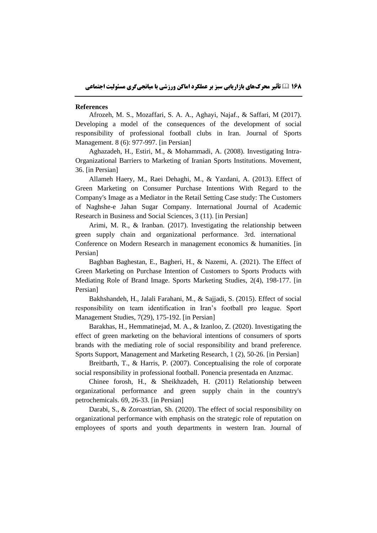#### **References**

Afrozeh, M. S., Mozaffari, S. A. A., Aghayi, Najaf., & Saffari, M (2017). Developing a model of the consequences of the development of social responsibility of professional football clubs in Iran. Journal of Sports Management. 8 (6): 977-997. [in Persian]

Aghazadeh, H., Estiri, M., & Mohammadi, A. (2008). Investigating Intra-Organizational Barriers to Marketing of Iranian Sports Institutions. Movement, 36. [in Persian]

Allameh Haery, M., Raei Dehaghi, M., & Yazdani, A. (2013). Effect of Green Marketing on Consumer Purchase Intentions With Regard to the Company's Image as a Mediator in the Retail Setting Case study: The Customers of Naghshe-e Jahan Sugar Company. International Journal of Academic Research in Business and Social Sciences, 3 (11). [in Persian]

Arimi, M. R., & Iranban. (2017). Investigating the relationship between green supply chain and organizational performance. 3rd. international Conference on Modern Research in management economics & humanities. [in Persian]

Baghban Baghestan, E., Bagheri, H., & Nazemi, A. (2021). The Effect of Green Marketing on Purchase Intention of Customers to Sports Products with Mediating Role of Brand Image. Sports Marketing Studies, 2(4), 198-177. [in Persian]

Bakhshandeh, H., Jalali Farahani, M., & Sajjadi, S. (2015). Effect of social responsibility on team identification in Iran's football pro league. Sport Management Studies, 7(29), 175-192. [in Persian]

Barakhas, H., Hemmatinejad, M. A., & Izanloo, Z. (2020). Investigating the effect of green marketing on the behavioral intentions of consumers of sports brands with the mediating role of social responsibility and brand preference. Sports Support, Management and Marketing Research, 1 (2), 50-26. [in Persian]

Breitbarth, T., & Harris, P. (2007). Conceptualising the role of corporate social responsibility in professional football. Ponencia presentada en Anzmac.

Chinee forosh, H., & Sheikhzadeh, H. (2011) Relationship between organizational performance and green supply chain in the country's petrochemicals. 69, 26-33. [in Persian]

Darabi, S., & Zoroastrian, Sh. (2020). The effect of social responsibility on organizational performance with emphasis on the strategic role of reputation on employees of sports and youth departments in western Iran. Journal of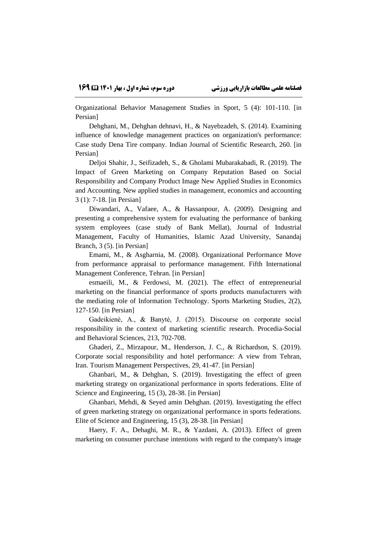Organizational Behavior Management Studies in Sport, 5 (4): 101-110. [in Persian]

Dehghani, M., Dehghan dehnavi, H., & Nayebzadeh, S. (2014). Examining influence of knowledge management practices on organization's performance: Case study Dena Tire company. Indian Journal of Scientific Research, 260. [in Persian]

Deljoi Shahir, J., Seifizadeh, S., & Gholami Mubarakabadi, R. (2019). The Impact of Green Marketing on Company Reputation Based on Social Responsibility and Company Product Image New Applied Studies in Economics and Accounting. New applied studies in management, economics and accounting 3 (1): 7-18. [in Persian]

Diwandari, A., Vafaee, A., & Hassanpour, A. (2009). Designing and presenting a comprehensive system for evaluating the performance of banking system employees (case study of Bank Mellat), Journal of Industrial Management, Faculty of Humanities, Islamic Azad University, Sanandaj Branch, 3 (5). [in Persian]

Emami, M., & Asgharnia, M. (2008). Organizational Performance Move from performance appraisal to performance management. Fifth International Management Conference, Tehran. [in Persian]

esmaeili, M., & Ferdowsi, M. (2021). The effect of entrepreneurial marketing on the financial performance of sports products manufacturers with the mediating role of Information Technology. Sports Marketing Studies, 2(2), 127-150. [in Persian]

Gadeikienė, A., & Banytė, J. (2015). Discourse on corporate social responsibility in the context of marketing scientific research. Procedia-Social and Behavioral Sciences, 213, 702-708.

Ghaderi, Z., Mirzapour, M., Henderson, J. C., & Richardson, S. (2019). Corporate social responsibility and hotel performance: A view from Tehran, Iran. Tourism Management Perspectives, 29, 41-47. [in Persian]

Ghanbari, M., & Dehghan, S. (2019). Investigating the effect of green marketing strategy on organizational performance in sports federations. Elite of Science and Engineering, 15 (3), 28-38. [in Persian]

Ghanbari, Mehdi, & Seyed amin Dehghan. (2019). Investigating the effect of green marketing strategy on organizational performance in sports federations. Elite of Science and Engineering, 15 (3), 28-38. [in Persian]

Haery, F. A., Dehaghi, M. R., & Yazdani, A. (2013). Effect of green marketing on consumer purchase intentions with regard to the company's image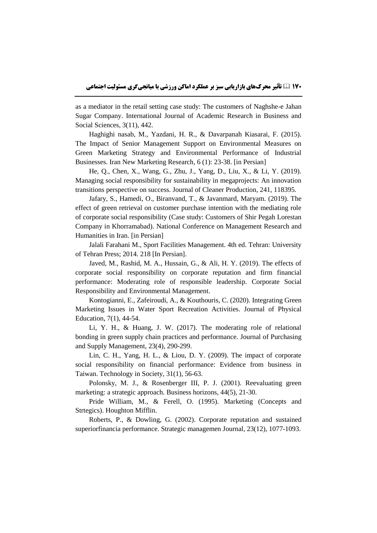as a mediator in the retail setting case study: The customers of Naghshe-e Jahan Sugar Company. International Journal of Academic Research in Business and Social Sciences, 3(11), 442.

Haghighi nasab, M., Yazdani, H. R., & Davarpanah Kiasarai, F. (2015). The Impact of Senior Management Support on Environmental Measures on Green Marketing Strategy and Environmental Performance of Industrial Businesses. Iran New Marketing Research, 6 (1): 23-38. [in Persian]

He, Q., Chen, X., Wang, G., Zhu, J., Yang, D., Liu, X., & Li, Y. (2019). Managing social responsibility for sustainability in megaprojects: An innovation transitions perspective on success. Journal of Cleaner Production, 241, 118395.

Jafary, S., Hamedi, O., Biranvand, T., & Javanmard, Maryam. (2019). The effect of green retrieval on customer purchase intention with the mediating role of corporate social responsibility (Case study: Customers of Shir Pegah Lorestan Company in Khorramabad). National Conference on Management Research and Humanities in Iran. [in Persian]

Jalali Farahani M., Sport Facilities Management. 4th ed. Tehran: University of Tehran Press; 2014. 218 [In Persian].

Javed, M., Rashid, M. A., Hussain, G., & Ali, H. Y. (2019). The effects of corporate social responsibility on corporate reputation and firm financial performance: Moderating role of responsible leadership. Corporate Social Responsibility and Environmental Management.

Kontogianni, E., Zafeiroudi, A., & Kouthouris, C. (2020). Integrating Green Marketing Issues in Water Sport Recreation Activities. Journal of Physical Education, 7(1), 44-54.

Li, Y. H., & Huang, J. W. (2017). The moderating role of relational bonding in green supply chain practices and performance. Journal of Purchasing and Supply Management, 23(4), 290-299.

Lin, C. H., Yang, H. L., & Liou, D. Y. (2009). The impact of corporate social responsibility on financial performance: Evidence from business in Taiwan. Technology in Society, 31(1), 56-63.

Polonsky, M. J., & Rosenberger III, P. J. (2001). Reevaluating green marketing: a strategic approach. Business horizons, 44(5), 21-30.

Pride William, M., & Ferell, O. (1995). Marketing (Concepts and Strtegics). Houghton Mifflin.

Roberts, P., & Dowling, G. (2002). Corporate reputation and sustained superiorfinancia performance. Strategic managemen Journal, 23(12), 1077-1093.